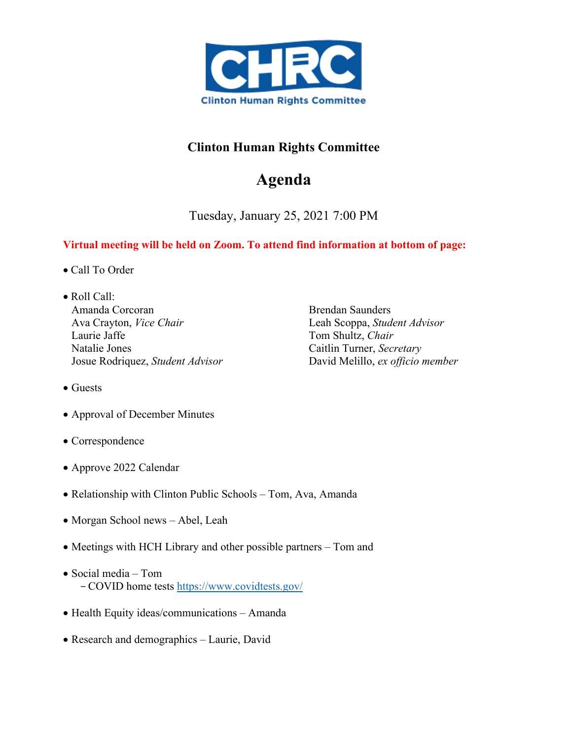

## **Clinton Human Rights Committee**

## **Agenda**

Tuesday, January 25, 2021 7:00 PM

## **Virtual meeting will be held on Zoom. To attend find information at bottom of page:**

- Call To Order
- Roll Call: Amanda Corcoran Ava Crayton, *Vice Chair* Laurie Jaffe Natalie Jones Josue Rodriquez, *Student Advisor*

Brendan Saunders Leah Scoppa, *Student Advisor*  Tom Shultz, *Chair* Caitlin Turner, *Secretary* David Melillo, *ex officio member*

- Guests
- Approval of December Minutes
- Correspondence
- Approve 2022 Calendar
- Relationship with Clinton Public Schools Tom, Ava, Amanda
- Morgan School news Abel, Leah
- Meetings with HCH Library and other possible partners Tom and
- Social media Tom -COVID home tests<https://www.covidtests.gov/>
- Health Equity ideas/communications Amanda
- Research and demographics Laurie, David